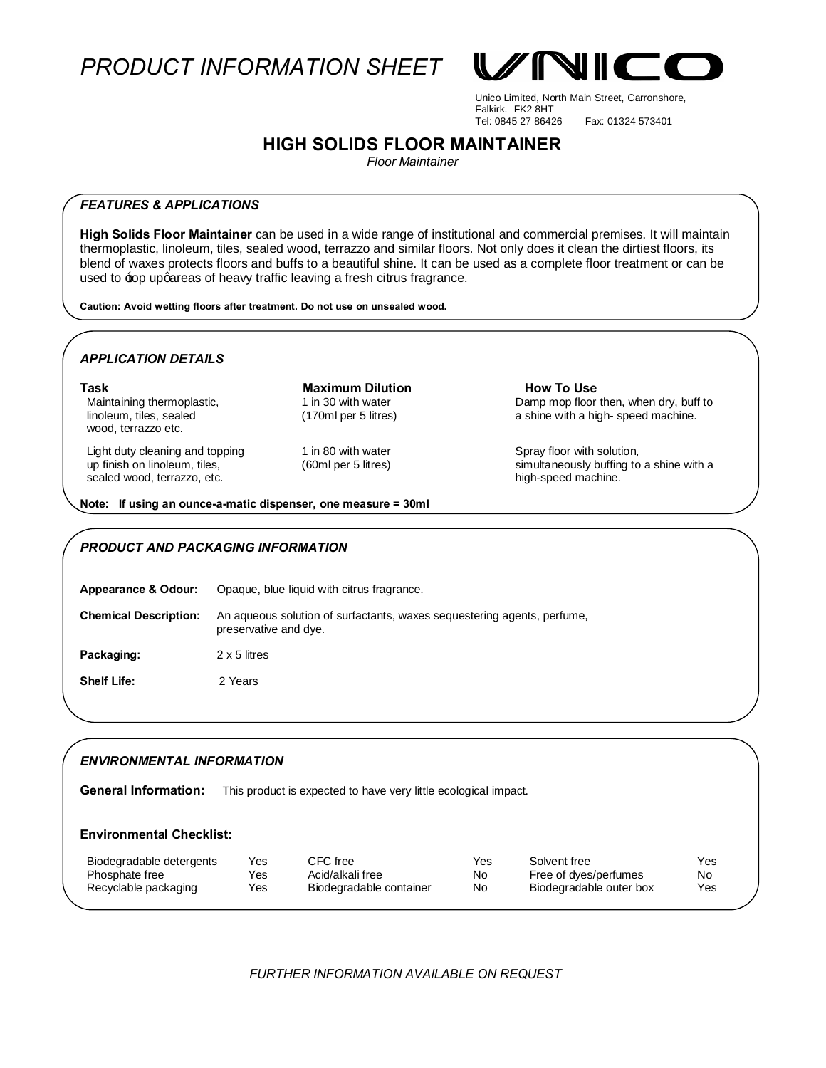*PRODUCT INFORMATION SHEET*



Unico Limited, North Main Street, Carronshore, Falkirk. FK2 8HT Fax: 01324 573401

## **HIGH SOLIDS FLOOR MAINTAINER**

*Floor Maintainer*

## *FEATURES & APPLICATIONS*

**High Solids Floor Maintainer** can be used in a wide range of institutional and commercial premises. It will maintain thermoplastic, linoleum, tiles, sealed wood, terrazzo and similar floors. Not only does it clean the dirtiest floors, its blend of waxes protects floors and buffs to a beautiful shine. It can be used as a complete floor treatment or can be used to  $\pm$ op upgareas of heavy traffic leaving a fresh citrus fragrance.

**Caution: Avoid wetting floors after treatment. Do not use on unsealed wood.** 

## *APPLICATION DETAILS*

**Task Maximum Dilution How To Use** Maintaining thermoplastic, linoleum, tiles, sealed wood, terrazzo etc.

Light duty cleaning and topping up finish on linoleum, tiles, sealed wood, terrazzo, etc.

1 in 30 with water (170ml per 5 litres)

1 in 80 with water (60ml per 5 litres) Damp mop floor then, when dry, buff to a shine with a high- speed machine.

Spray floor with solution, simultaneously buffing to a shine with a high-speed machine.

**Note: If using an ounce-a-matic dispenser, one measure = 30ml** 

## *PRODUCT AND PACKAGING INFORMATION*

| <b>Appearance &amp; Odour:</b> | Opaque, blue liquid with citrus fragrance.                                                       |
|--------------------------------|--------------------------------------------------------------------------------------------------|
| <b>Chemical Description:</b>   | An aqueous solution of surfactants, waxes sequestering agents, perfume,<br>preservative and dye. |
| Packaging:                     | 2 x 5 litres                                                                                     |
| <b>Shelf Life:</b>             | 2 Years                                                                                          |

## *ENVIRONMENTAL INFORMATION*

General Information: This product is expected to have very little ecological impact.

## **Environmental Checklist:**

| Biodegradable detergents | Yes  | CFC free                | Yes. | Solvent free            | Yes |
|--------------------------|------|-------------------------|------|-------------------------|-----|
| Phosphate free           | Yes  | Acid/alkali free        | No.  | Free of dyes/perfumes   | No  |
| Recyclable packaging     | Yes. | Biodegradable container | No.  | Biodegradable outer box | Yes |

 *FURTHER INFORMATION AVAILABLE ON REQUEST*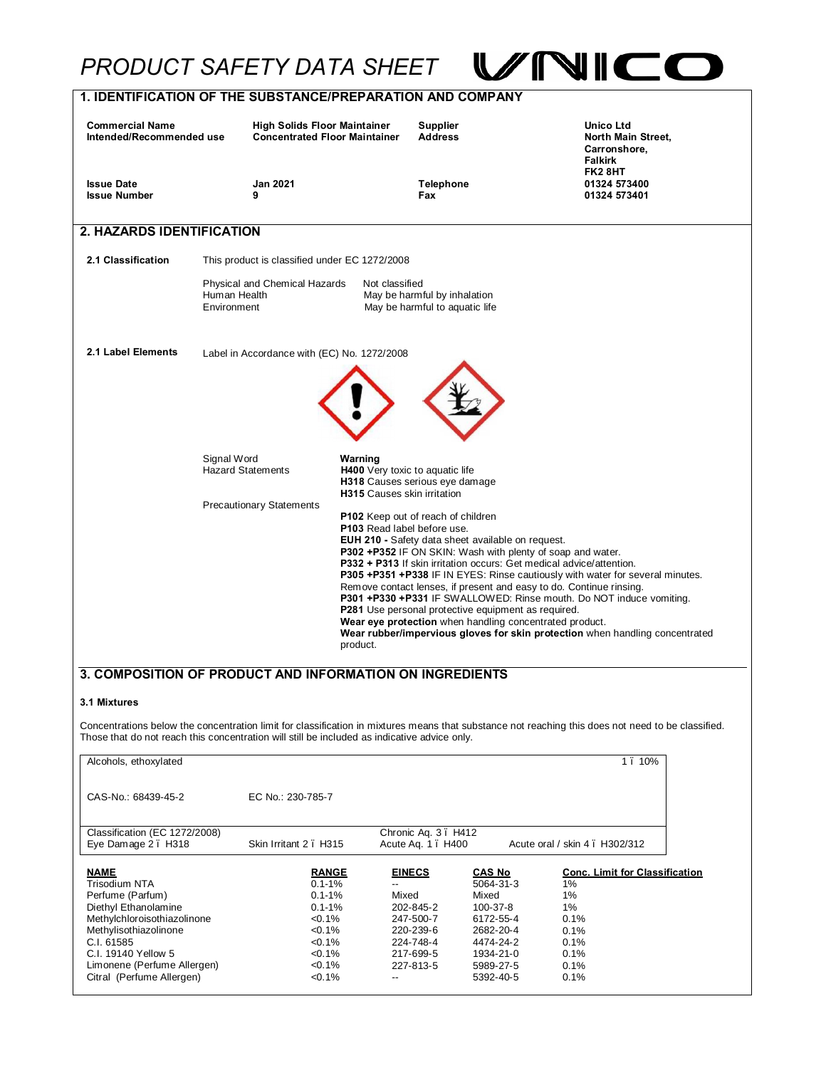# *PRODUCT SAFETY DATA SHEET*



VNI

| Alcohols, ethoxylated         |                       |                     |               | 10%                                   |
|-------------------------------|-----------------------|---------------------|---------------|---------------------------------------|
| CAS-No.: 68439-45-2           | EC No.: 230-785-7     |                     |               |                                       |
| Classification (EC 1272/2008) |                       | Chronic Aq. 3. H412 |               |                                       |
| Eye Damage 2. H318            | Skin Irritant 2. H315 | Acute Ag. 1 . H400  |               | Acute oral / skin 4 . H302/312        |
| <b>NAME</b>                   | <b>RANGE</b>          | <b>EINECS</b>       | <b>CAS No</b> | <b>Conc. Limit for Classification</b> |
| Trisodium NTA                 | $0.1 - 1%$            |                     | 5064-31-3     | 1%                                    |
| Perfume (Parfum)              | $0.1 - 1%$            | Mixed               | Mixed         | 1%                                    |
| Diethyl Ethanolamine          | $0.1 - 1\%$           | 202-845-2           | 100-37-8      | 1%                                    |
| Methylchloroisothiazolinone   | $< 0.1\%$             | 247-500-7           | 6172-55-4     | 0.1%                                  |
| Methylisothiazolinone         | $< 0.1\%$             | 220-239-6           | 2682-20-4     | 0.1%                                  |
| C.I. 61585                    | $< 0.1\%$             | 224-748-4           | 4474-24-2     | 0.1%                                  |
| C.I. 19140 Yellow 5           | $< 0.1\%$             | 217-699-5           | 1934-21-0     | 0.1%                                  |
| Limonene (Perfume Allergen)   | $< 0.1\%$             | 227-813-5           | 5989-27-5     | 0.1%                                  |
| Citral (Perfume Allergen)     | $< 0.1\%$             |                     | 5392-40-5     | 0.1%                                  |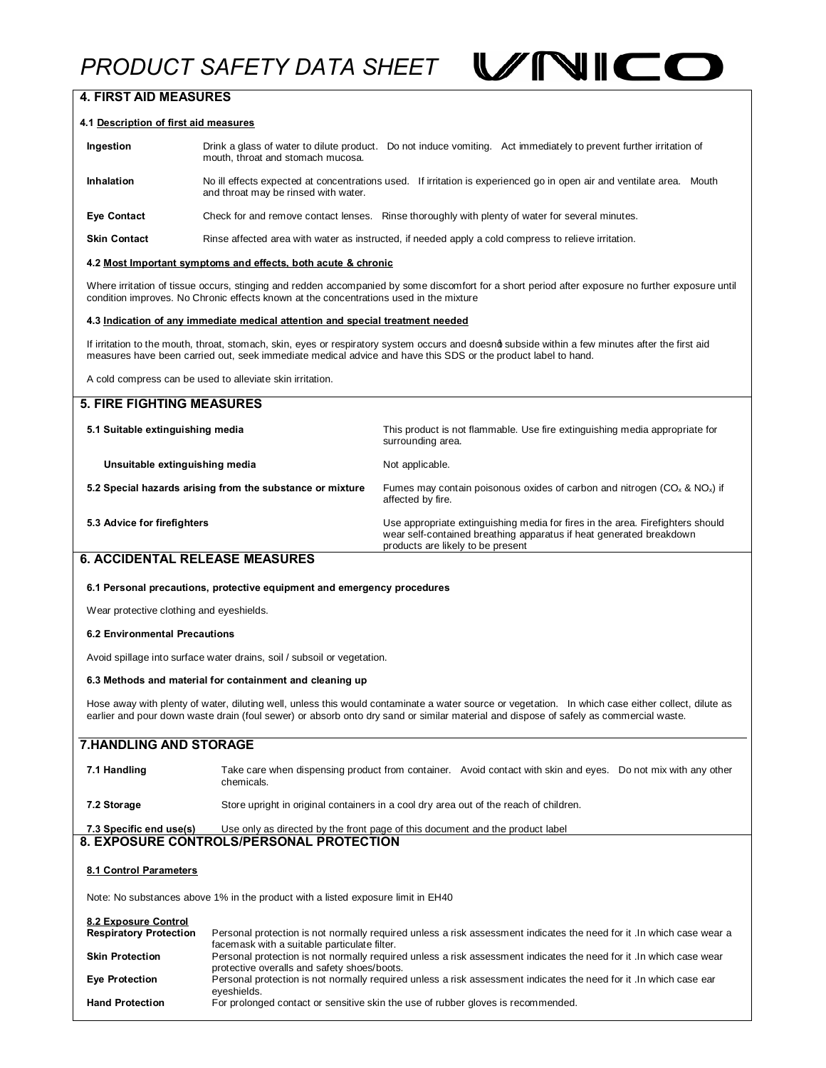# *PRODUCT SAFETY DATA SHEET*



## **4. FIRST AID MEASURES**

#### **4.1 Description of first aid measures**

| Ingestion           | Drink a glass of water to dilute product. Do not induce vomiting. Act immediately to prevent further irritation of<br>mouth, throat and stomach mucosa.          |  |  |  |  |
|---------------------|------------------------------------------------------------------------------------------------------------------------------------------------------------------|--|--|--|--|
| <b>Inhalation</b>   | No ill effects expected at concentrations used. If irritation is experienced go in open air and ventilate area.<br>Mouth<br>and throat may be rinsed with water. |  |  |  |  |
| <b>Eye Contact</b>  | Check for and remove contact lenses. Rinse thoroughly with plenty of water for several minutes.                                                                  |  |  |  |  |
| <b>Skin Contact</b> | Rinse affected area with water as instructed, if needed apply a cold compress to relieve irritation.                                                             |  |  |  |  |

#### **4.2 Most Important symptoms and effects, both acute & chronic**

Where irritation of tissue occurs, stinging and redden accompanied by some discomfort for a short period after exposure no further exposure until condition improves. No Chronic effects known at the concentrations used in the mixture

#### **4.3 Indication of any immediate medical attention and special treatment needed**

If irritation to the mouth, throat, stomach, skin, eyes or respiratory system occurs and doesnd subside within a few minutes after the first aid measures have been carried out, seek immediate medical advice and have this SDS or the product label to hand.

A cold compress can be used to alleviate skin irritation.

| <b>5. FIRE FIGHTING MEASURES</b>                                        |                                                                                                                                                                                            |
|-------------------------------------------------------------------------|--------------------------------------------------------------------------------------------------------------------------------------------------------------------------------------------|
| 5.1 Suitable extinguishing media                                        | This product is not flammable. Use fire extinguishing media appropriate for<br>surrounding area.                                                                                           |
| Unsuitable extinguishing media                                          | Not applicable.                                                                                                                                                                            |
| 5.2 Special hazards arising from the substance or mixture               | Fumes may contain poisonous oxides of carbon and nitrogen ( $CO_x$ & $NO_x$ ) if<br>affected by fire.                                                                                      |
| 5.3 Advice for firefighters                                             | Use appropriate extinguishing media for fires in the area. Firefighters should<br>wear self-contained breathing apparatus if heat generated breakdown<br>products are likely to be present |
| <b>6. ACCIDENTAL RELEASE MEASURES</b>                                   |                                                                                                                                                                                            |
| 6.1 Personal precautions, protective equipment and emergency procedures |                                                                                                                                                                                            |
| Wear protective clothing and eyeshields.                                |                                                                                                                                                                                            |
| 6.2 Environmental Precautions                                           |                                                                                                                                                                                            |

Avoid spillage into surface water drains, soil / subsoil or vegetation.

#### **6.3 Methods and material for containment and cleaning up**

Hose away with plenty of water, diluting well, unless this would contaminate a water source or vegetation. In which case either collect, dilute as earlier and pour down waste drain (foul sewer) or absorb onto dry sand or similar material and dispose of safely as commercial waste.

## **7.HANDLING AND STORAGE**

| 7.1 Handling | Take care when dispensing product from container. Avoid contact with skin and eyes. Do not mix with any other<br>chemicals. |  |  |  |  |
|--------------|-----------------------------------------------------------------------------------------------------------------------------|--|--|--|--|
| 7.2 Storage  | Store upright in original containers in a cool dry area out of the reach of children.                                       |  |  |  |  |

| 7.3 Specific end use(s) | Use only as directed by the front page of this document and the product label |
|-------------------------|-------------------------------------------------------------------------------|
|                         | 8. EXPOSURE CONTROLS/PERSONAL PROTECTION                                      |

#### **8.1 Control Parameters**

Note: No substances above 1% in the product with a listed exposure limit in EH40

| 8.2 Exposure Control<br><b>Respiratory Protection</b> | Personal protection is not normally required unless a risk assessment indicates the need for it. In which case wear a<br>facemask with a suitable particulate filter. |
|-------------------------------------------------------|-----------------------------------------------------------------------------------------------------------------------------------------------------------------------|
| <b>Skin Protection</b>                                | Personal protection is not normally required unless a risk assessment indicates the need for it . In which case wear<br>protective overalls and safety shoes/boots.   |
| <b>Eye Protection</b>                                 | Personal protection is not normally required unless a risk assessment indicates the need for it . In which case ear<br>eveshields.                                    |
| <b>Hand Protection</b>                                | For prolonged contact or sensitive skin the use of rubber gloves is recommended.                                                                                      |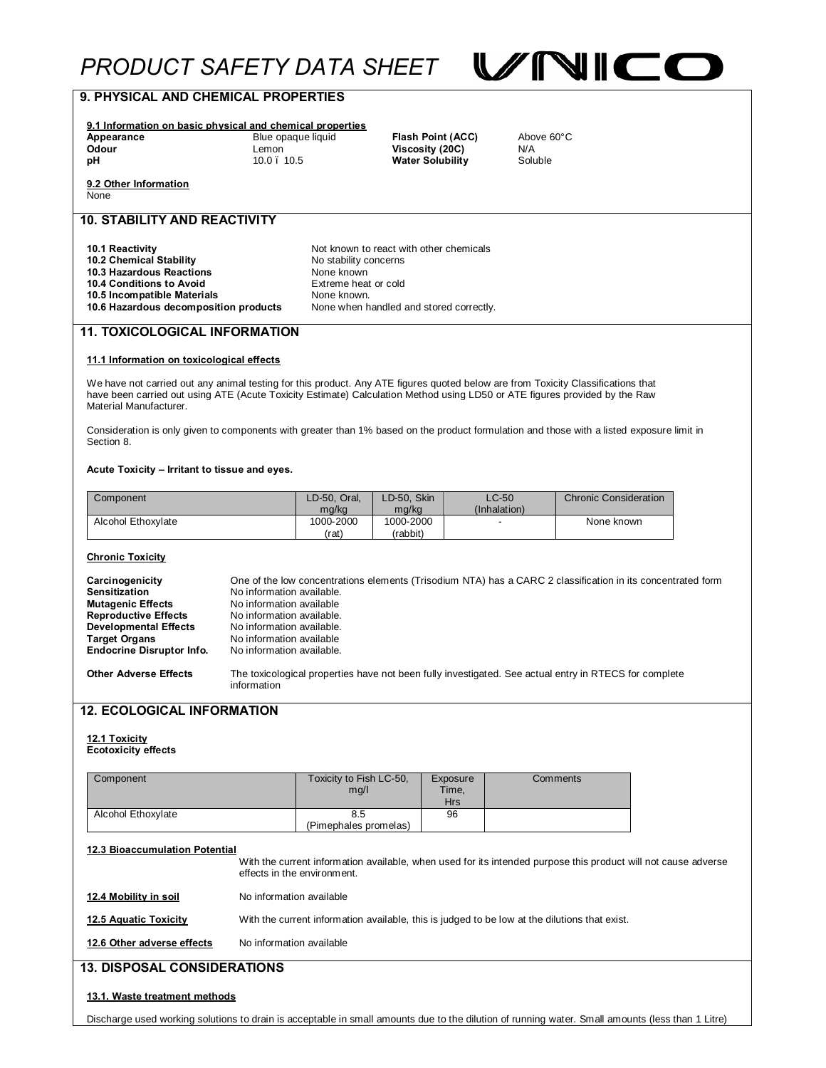# **PRODUCT SAFETY DATA SHEET WIND**



| 9. PHYSICAL AND CHEMICAL PROPERTIES                                                                                                                                                                                                                            |                           |                                                        |                       |                                            |                         |                                                                                                                |  |
|----------------------------------------------------------------------------------------------------------------------------------------------------------------------------------------------------------------------------------------------------------------|---------------------------|--------------------------------------------------------|-----------------------|--------------------------------------------|-------------------------|----------------------------------------------------------------------------------------------------------------|--|
| 9.1 Information on basic physical and chemical properties                                                                                                                                                                                                      |                           |                                                        |                       |                                            |                         |                                                                                                                |  |
| Appearance                                                                                                                                                                                                                                                     | Blue opaque liquid        |                                                        | Flash Point (ACC)     | Above 60°C                                 |                         |                                                                                                                |  |
| Odour<br>рH                                                                                                                                                                                                                                                    | Lemon<br>$10.0$ . $10.5$  |                                                        |                       | Viscosity (20C)<br><b>Water Solubility</b> | N/A<br>Soluble          |                                                                                                                |  |
|                                                                                                                                                                                                                                                                |                           |                                                        |                       |                                            |                         |                                                                                                                |  |
| 9.2 Other Information<br>None                                                                                                                                                                                                                                  |                           |                                                        |                       |                                            |                         |                                                                                                                |  |
| <b>10. STABILITY AND REACTIVITY</b>                                                                                                                                                                                                                            |                           |                                                        |                       |                                            |                         |                                                                                                                |  |
| 10.1 Reactivity                                                                                                                                                                                                                                                |                           | Not known to react with other chemicals                |                       |                                            |                         |                                                                                                                |  |
| 10.2 Chemical Stability                                                                                                                                                                                                                                        |                           | No stability concerns                                  |                       |                                            |                         |                                                                                                                |  |
| 10.3 Hazardous Reactions                                                                                                                                                                                                                                       |                           | None known                                             |                       |                                            |                         |                                                                                                                |  |
| 10.4 Conditions to Avoid                                                                                                                                                                                                                                       |                           | Extreme heat or cold                                   |                       |                                            |                         |                                                                                                                |  |
| 10.5 Incompatible Materials<br>10.6 Hazardous decomposition products                                                                                                                                                                                           |                           | None known.<br>None when handled and stored correctly. |                       |                                            |                         |                                                                                                                |  |
|                                                                                                                                                                                                                                                                |                           |                                                        |                       |                                            |                         |                                                                                                                |  |
| <b>11. TOXICOLOGICAL INFORMATION</b>                                                                                                                                                                                                                           |                           |                                                        |                       |                                            |                         |                                                                                                                |  |
| 11.1 Information on toxicological effects                                                                                                                                                                                                                      |                           |                                                        |                       |                                            |                         |                                                                                                                |  |
| We have not carried out any animal testing for this product. Any ATE figures quoted below are from Toxicity Classifications that<br>have been carried out using ATE (Acute Toxicity Estimate) Calculation Method using LD50 or ATE figures provided by the Raw |                           |                                                        |                       |                                            |                         |                                                                                                                |  |
| Material Manufacturer.                                                                                                                                                                                                                                         |                           |                                                        |                       |                                            |                         |                                                                                                                |  |
| Consideration is only given to components with greater than 1% based on the product formulation and those with a listed exposure limit in<br>Section 8.                                                                                                        |                           |                                                        |                       |                                            |                         |                                                                                                                |  |
| Acute Toxicity – Irritant to tissue and eyes.                                                                                                                                                                                                                  |                           |                                                        |                       |                                            |                         |                                                                                                                |  |
|                                                                                                                                                                                                                                                                |                           |                                                        |                       |                                            |                         |                                                                                                                |  |
| Component                                                                                                                                                                                                                                                      |                           | LD-50, Oral,<br>mg/kg                                  | LD-50, Skin<br>mg/kg  |                                            | $LC-50$<br>(Inhalation) | <b>Chronic Consideration</b>                                                                                   |  |
| Alcohol Ethoxylate                                                                                                                                                                                                                                             |                           | 1000-2000<br>(rat)                                     | 1000-2000<br>(rabbit) |                                            |                         | None known                                                                                                     |  |
| <b>Chronic Toxicity</b>                                                                                                                                                                                                                                        |                           |                                                        |                       |                                            |                         |                                                                                                                |  |
|                                                                                                                                                                                                                                                                |                           |                                                        |                       |                                            |                         |                                                                                                                |  |
| Carcinogenicity<br><b>Sensitization</b>                                                                                                                                                                                                                        | No information available. |                                                        |                       |                                            |                         | One of the low concentrations elements (Trisodium NTA) has a CARC 2 classification in its concentrated form    |  |
| <b>Mutagenic Effects</b>                                                                                                                                                                                                                                       | No information available  |                                                        |                       |                                            |                         |                                                                                                                |  |
| <b>Reproductive Effects</b>                                                                                                                                                                                                                                    | No information available. |                                                        |                       |                                            |                         |                                                                                                                |  |
| <b>Developmental Effects</b>                                                                                                                                                                                                                                   | No information available. |                                                        |                       |                                            |                         |                                                                                                                |  |
| <b>Target Organs</b>                                                                                                                                                                                                                                           | No information available  |                                                        |                       |                                            |                         |                                                                                                                |  |
| <b>Endocrine Disruptor Info.</b>                                                                                                                                                                                                                               | No information available. |                                                        |                       |                                            |                         |                                                                                                                |  |
| <b>Other Adverse Effects</b>                                                                                                                                                                                                                                   | information               |                                                        |                       |                                            |                         | The toxicological properties have not been fully investigated. See actual entry in RTECS for complete          |  |
| <b>12. ECOLOGICAL INFORMATION</b>                                                                                                                                                                                                                              |                           |                                                        |                       |                                            |                         |                                                                                                                |  |
|                                                                                                                                                                                                                                                                |                           |                                                        |                       |                                            |                         |                                                                                                                |  |
| 12.1 Toxicity                                                                                                                                                                                                                                                  |                           |                                                        |                       |                                            |                         |                                                                                                                |  |
| <b>Ecotoxicity effects</b>                                                                                                                                                                                                                                     |                           |                                                        |                       |                                            |                         |                                                                                                                |  |
|                                                                                                                                                                                                                                                                |                           |                                                        |                       |                                            |                         |                                                                                                                |  |
| Component                                                                                                                                                                                                                                                      |                           | Toxicity to Fish LC-50,<br>mg/l                        |                       | Exposure<br>Time,                          |                         | Comments                                                                                                       |  |
|                                                                                                                                                                                                                                                                |                           |                                                        |                       | <b>Hrs</b>                                 |                         |                                                                                                                |  |
| Alcohol Ethoxylate                                                                                                                                                                                                                                             |                           | 8.5                                                    |                       | 96                                         |                         |                                                                                                                |  |
|                                                                                                                                                                                                                                                                |                           | (Pimephales promelas)                                  |                       |                                            |                         |                                                                                                                |  |
|                                                                                                                                                                                                                                                                |                           |                                                        |                       |                                            |                         |                                                                                                                |  |
| 12.3 Bioaccumulation Potential                                                                                                                                                                                                                                 |                           |                                                        |                       |                                            |                         |                                                                                                                |  |
|                                                                                                                                                                                                                                                                |                           | effects in the environment.                            |                       |                                            |                         | With the current information available, when used for its intended purpose this product will not cause adverse |  |
| 12.4 Mobility in soil                                                                                                                                                                                                                                          | No information available  |                                                        |                       |                                            |                         |                                                                                                                |  |
| 12.5 Aquatic Toxicity                                                                                                                                                                                                                                          |                           |                                                        |                       |                                            |                         | With the current information available, this is judged to be low at the dilutions that exist.                  |  |
| 12.6 Other adverse effects                                                                                                                                                                                                                                     | No information available  |                                                        |                       |                                            |                         |                                                                                                                |  |
| <b>13. DISPOSAL CONSIDERATIONS</b>                                                                                                                                                                                                                             |                           |                                                        |                       |                                            |                         |                                                                                                                |  |
| 13.1. Waste treatment methods                                                                                                                                                                                                                                  |                           |                                                        |                       |                                            |                         |                                                                                                                |  |

Discharge used working solutions to drain is acceptable in small amounts due to the dilution of running water. Small amounts (less than 1 Litre)